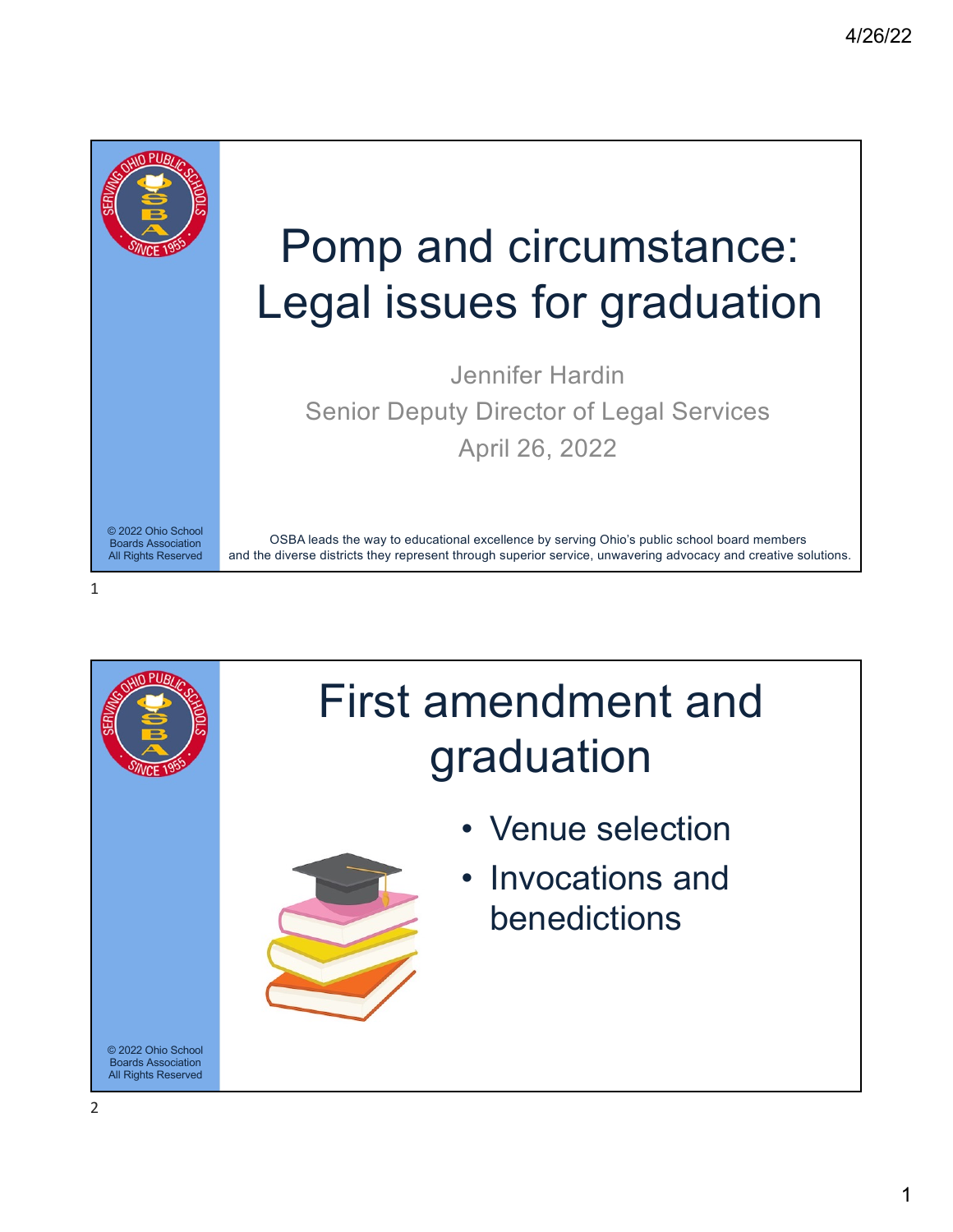

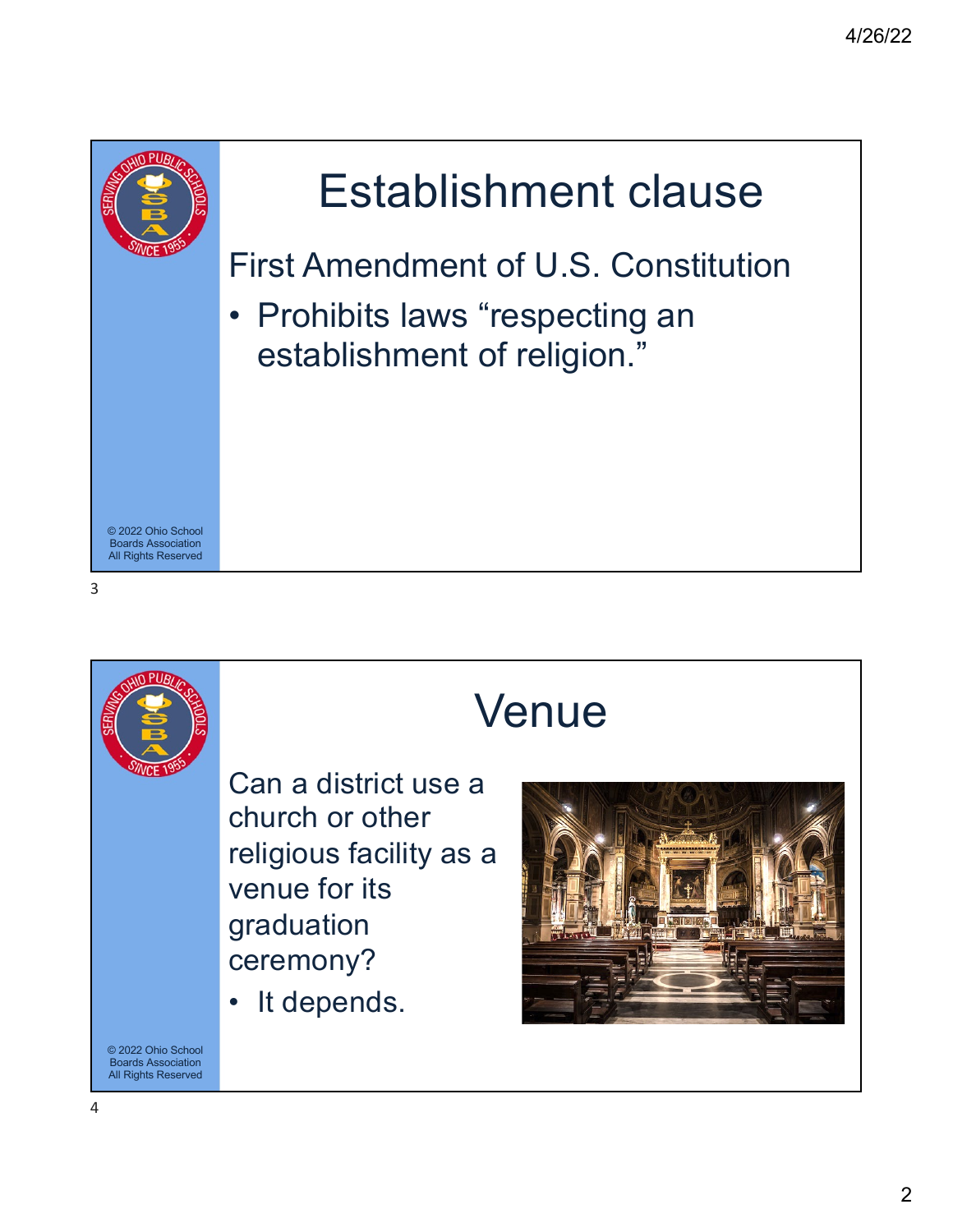



## Venue

Can a district use a church or other religious facility as a venue for its graduation ceremony?

• It depends.

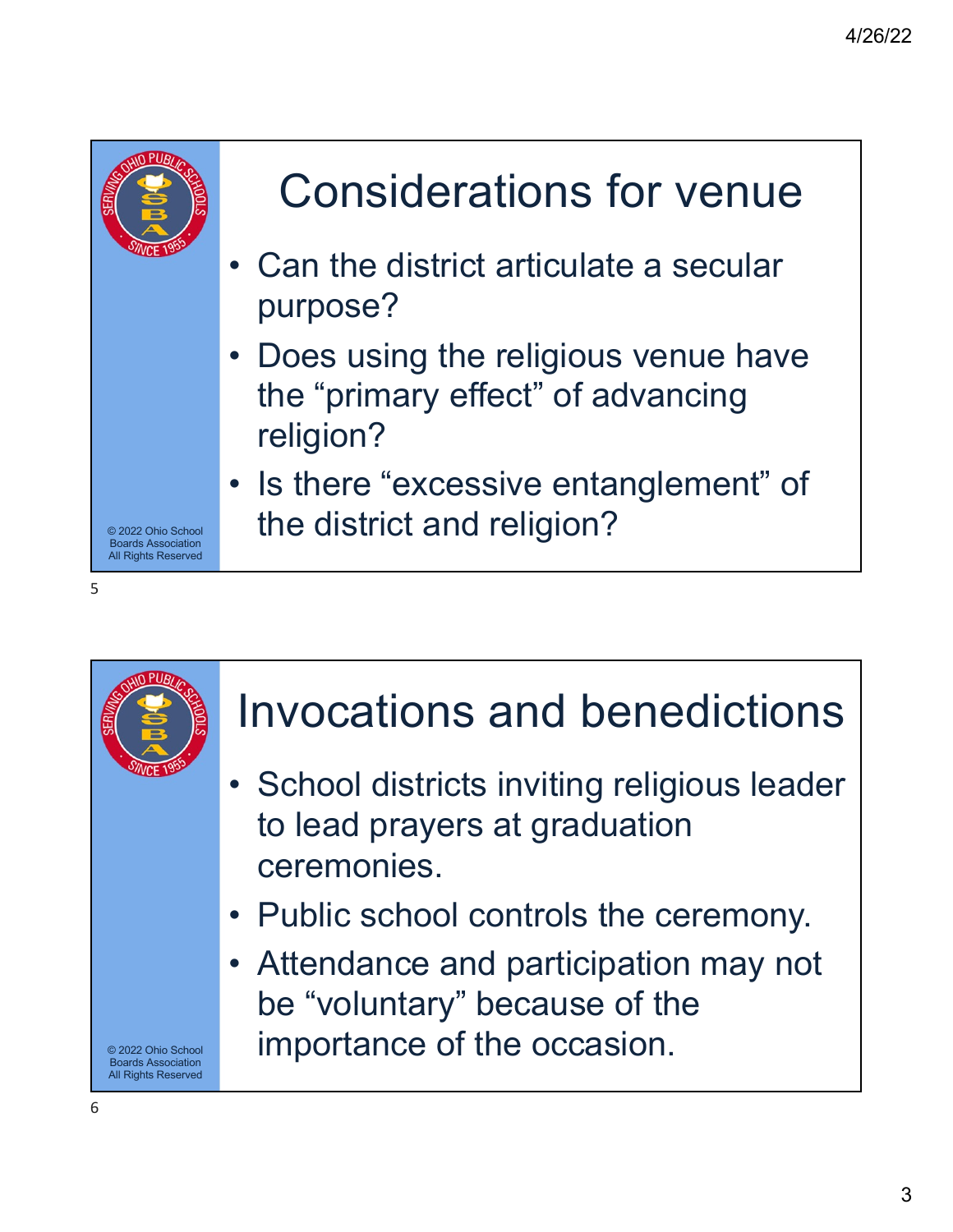

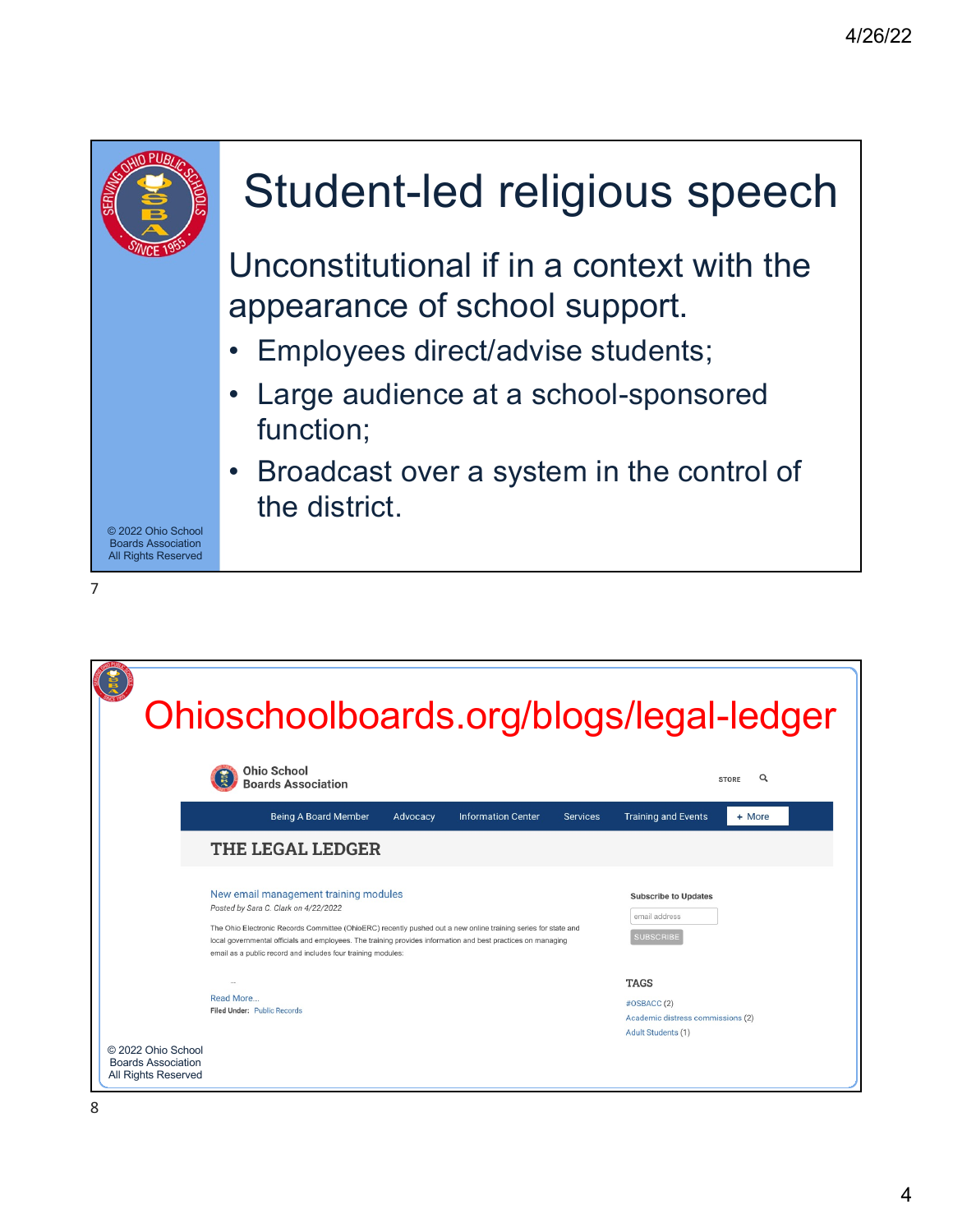